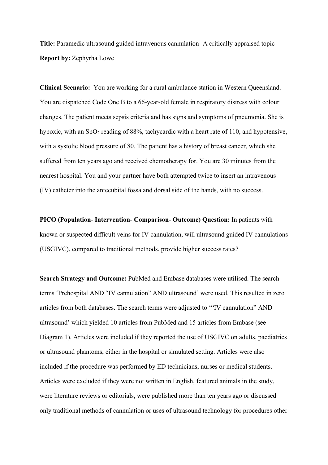**Title:** Paramedic ultrasound guided intravenous cannulation- A critically appraised topic **Report by:** Zephyrha Lowe

**Clinical Scenario:** You are working for a rural ambulance station in Western Queensland. You are dispatched Code One B to a 66-year-old female in respiratory distress with colour changes. The patient meets sepsis criteria and has signs and symptoms of pneumonia. She is hypoxic, with an SpO<sub>2</sub> reading of 88%, tachycardic with a heart rate of 110, and hypotensive, with a systolic blood pressure of 80. The patient has a history of breast cancer, which she suffered from ten years ago and received chemotherapy for. You are 30 minutes from the nearest hospital. You and your partner have both attempted twice to insert an intravenous (IV) catheter into the antecubital fossa and dorsal side of the hands, with no success.

**PICO (Population- Intervention- Comparison- Outcome) Question:** In patients with known or suspected difficult veins for IV cannulation, will ultrasound guided IV cannulations (USGIVC), compared to traditional methods, provide higher success rates?

**Search Strategy and Outcome:** PubMed and Embase databases were utilised. The search terms 'Prehospital AND "IV cannulation" AND ultrasound' were used. This resulted in zero articles from both databases. The search terms were adjusted to '"IV cannulation" AND ultrasound' which yielded 10 articles from PubMed and 15 articles from Embase (see Diagram 1). Articles were included if they reported the use of USGIVC on adults, paediatrics or ultrasound phantoms, either in the hospital or simulated setting. Articles were also included if the procedure was performed by ED technicians, nurses or medical students. Articles were excluded if they were not written in English, featured animals in the study, were literature reviews or editorials, were published more than ten years ago or discussed only traditional methods of cannulation or uses of ultrasound technology for procedures other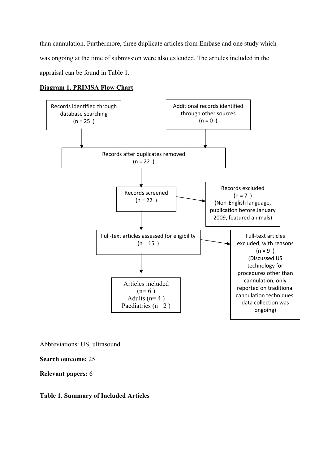than cannulation. Furthermore, three duplicate articles from Embase and one study which was ongoing at the time of submission were also exlcuded. The articles included in the appraisal can be found in Table 1.

# **Diagram 1. PRIMSA Flow Chart**



Abbreviations: US, ultrasound

**Search outcome:** 25

**Relevant papers:** 6

## **Table 1. Summary of Included Articles**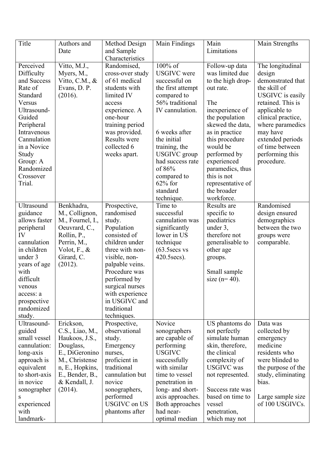| Title                                                                                                                                                                                                                 | Authors and<br>Date                                                                                                                                               | Method Design<br>and Sample<br>Characteristics                                                                                                                                                                                                                    | Main Findings                                                                                                                                                                                                                                                                                | Main<br>Limitations                                                                                                                                                                                                                                                                                     | Main Strengths                                                                                                                                                                                                                                          |
|-----------------------------------------------------------------------------------------------------------------------------------------------------------------------------------------------------------------------|-------------------------------------------------------------------------------------------------------------------------------------------------------------------|-------------------------------------------------------------------------------------------------------------------------------------------------------------------------------------------------------------------------------------------------------------------|----------------------------------------------------------------------------------------------------------------------------------------------------------------------------------------------------------------------------------------------------------------------------------------------|---------------------------------------------------------------------------------------------------------------------------------------------------------------------------------------------------------------------------------------------------------------------------------------------------------|---------------------------------------------------------------------------------------------------------------------------------------------------------------------------------------------------------------------------------------------------------|
| Perceived<br>Difficulty<br>and Success<br>Rate of<br>Standard<br>Versus<br>Ultrasound-<br>Guided<br>Peripheral<br>Intravenous<br>Cannulation<br>in a Novice<br>Study<br>Group: A<br>Randomized<br>Crossover<br>Trial. | Vitto, M.J.,<br>Myers, M.,<br>Vitto, C.M., $&$<br>Evans, D. P.<br>(2016).                                                                                         | Randomised,<br>cross-over study<br>of 61 medical<br>students with<br>limited IV<br>access<br>experience. A<br>one-hour<br>training period<br>was provided.<br><b>Results were</b><br>collected 6<br>weeks apart.                                                  | $\overline{100\%}$ of<br><b>USGIVC</b> were<br>successful on<br>the first attempt<br>compared to<br>56% traditional<br>IV cannulation.<br>6 weeks after<br>the initial<br>training, the<br>USGIVC group<br>had success rate<br>of 86%<br>compared to<br>$62\%$ for<br>standard<br>technique. | Follow-up data<br>was limited due<br>to the high drop-<br>out rate.<br>The<br>inexperience of<br>the population<br>skewed the data,<br>as in practice<br>this procedure<br>would be<br>performed by<br>experienced<br>paramedics, thus<br>this is not<br>representative of<br>the broader<br>workforce. | The longitudinal<br>design<br>demonstrated that<br>the skill of<br>USGIVC is easily<br>retained. This is<br>applicable to<br>clinical practice,<br>where paramedics<br>may have<br>extended periods<br>of time between<br>performing this<br>procedure. |
| Ultrasound<br>guidance<br>allows faster<br>peripheral<br>IV<br>cannulation<br>in children<br>under 3<br>years of age<br>with<br>difficult<br>venous<br>access: a<br>prospective<br>randomized<br>study.               | Benkhadra,<br>M., Collignon,<br>M., Fournel, I.,<br>Oeuvrard, C.,<br>Rollin, P.,<br>Perrin, M.,<br>Volot, $F_{\cdot}, \&$<br>Girard, C.<br>(2012).                | Prospective,<br>randomised<br>study.<br>Population<br>consisted of<br>children under<br>three with non-<br>visible, non-<br>palpable veins.<br>Procedure was<br>performed by<br>surgical nurses<br>with experience<br>in USGIVC and<br>traditional<br>techniques. | Time to<br>successful<br>cannulation was<br>significantly<br>lower in US<br>technique<br>(63.5secs vs<br>420.5 secs).                                                                                                                                                                        | Results are<br>specific to<br>paediatrics<br>under 3,<br>therefore not<br>generalisable to<br>other age<br>groups.<br>Small sample<br>size ( $n=40$ ).                                                                                                                                                  | Randomised<br>design ensured<br>demographics<br>between the two<br>groups were<br>comparable.                                                                                                                                                           |
| Ultrasound-<br>guided<br>small vessel<br>cannulation:<br>long-axis<br>approach is<br>equivalent<br>to short-axis<br>in novice<br>sonographer<br>S<br>experienced<br>with<br>landmark-                                 | Erickson,<br>C.S., Liao, M.,<br>Haukoos, J.S.,<br>Douglass,<br>E., DiGeronino<br>M., Christense<br>n, E., Hopkins,<br>E., Bender, B.,<br>& Kendall, J.<br>(2014). | Prospective,<br>observational<br>study.<br>Emergency<br>nurses,<br>proficient in<br>traditional<br>cannulation but<br>novice<br>sonographers,<br>performed<br><b>USGIVC</b> on US<br>phantoms after                                                               | Novice<br>sonographers<br>are capable of<br>performing<br><b>USGIVC</b><br>successfully<br>with similar<br>time to vessel<br>penetration in<br>long- and short-<br>axis approaches.<br>Both approaches<br>had near-<br>optimal median                                                        | US phantoms do<br>not perfectly<br>simulate human<br>skin, therefore,<br>the clinical<br>complexity of<br><b>USGIVC</b> was<br>not represented.<br>Success rate was<br>based on time to<br>vessel<br>penetration,<br>which may not                                                                      | Data was<br>collected by<br>emergency<br>medicine<br>residents who<br>were blinded to<br>the purpose of the<br>study, eliminating<br>bias.<br>Large sample size<br>of 100 USGIVCs.                                                                      |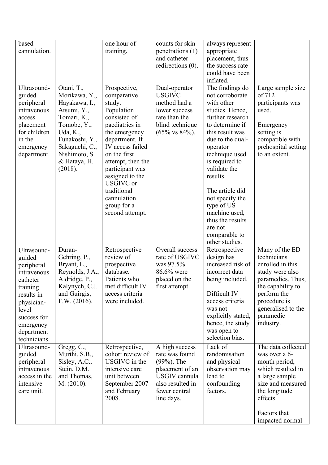| based<br>cannulation.                                                                                                                                                     |                                                                                                                                                                                       | one hour of<br>training.                                                                                                                                                                                                                                                                                    | counts for skin<br>penetrations (1)<br>and catheter<br>redirections (0).                                                                | always represent<br>appropriate<br>placement, thus<br>the success rate<br>could have been<br>inflated.                                                                                                                                                                                                                                                               |                                                                                                                                                                                               |
|---------------------------------------------------------------------------------------------------------------------------------------------------------------------------|---------------------------------------------------------------------------------------------------------------------------------------------------------------------------------------|-------------------------------------------------------------------------------------------------------------------------------------------------------------------------------------------------------------------------------------------------------------------------------------------------------------|-----------------------------------------------------------------------------------------------------------------------------------------|----------------------------------------------------------------------------------------------------------------------------------------------------------------------------------------------------------------------------------------------------------------------------------------------------------------------------------------------------------------------|-----------------------------------------------------------------------------------------------------------------------------------------------------------------------------------------------|
| Ultrasound-<br>guided<br>peripheral<br>intravenous<br>access<br>placement<br>for children<br>in the<br>emergency<br>department.                                           | Otani, T.,<br>Morikawa, Y.,<br>Hayakawa, I.,<br>Atsumi, Y.,<br>Tomari, K.,<br>Tomobe, Y.,<br>Uda, K.,<br>Funakoshi, Y.,<br>Sakaguchi, C.,<br>Nishimoto, S.<br>& Hataya, H.<br>(2018). | Prospective,<br>comparative<br>study.<br>Population<br>consisted of<br>paediatrics in<br>the emergency<br>department. If<br>IV access failed<br>on the first<br>attempt, then the<br>participant was<br>assigned to the<br><b>USGIVC</b> or<br>traditional<br>cannulation<br>group for a<br>second attempt. | Dual-operator<br><b>USGIVC</b><br>method had a<br>lower success<br>rate than the<br>blind technique<br>$(65\% \text{ vs } 84\%).$       | The findings do<br>not corroborate<br>with other<br>studies. Hence,<br>further research<br>to determine if<br>this result was<br>due to the dual-<br>operator<br>technique used<br>is required to<br>validate the<br>results.<br>The article did<br>not specify the<br>type of US<br>machine used,<br>thus the results<br>are not<br>comparable to<br>other studies. | Large sample size<br>of 712<br>participants was<br>used.<br>Emergency<br>setting is<br>compatible with<br>prehospital setting<br>to an extent.                                                |
| Ultrasound-<br>guided<br>peripheral<br>intravenous<br>catheter<br>training<br>results in<br>physician-<br>level<br>success for<br>emergency<br>department<br>technicians. | Duran-<br>Gehring, P.,<br>Bryant, L.,<br>Reynolds, J.A.,<br>Aldridge, P.,<br>Kalynych, C.J.<br>and Guirgis,<br>F.W. (2016).                                                           | Retrospective<br>review of<br>prospective<br>database.<br>Patients who<br>met difficult IV<br>access criteria<br>were included.                                                                                                                                                                             | Overall success<br>rate of USGIVC<br>was 97.5%.<br>86.6% were<br>placed on the<br>first attempt.                                        | Retrospective<br>design has<br>increased risk of<br>incorrect data<br>being included.<br>Difficult IV<br>access criteria<br>was not<br>explicitly stated,<br>hence, the study<br>was open to<br>selection bias.                                                                                                                                                      | Many of the ED<br>technicians<br>enrolled in this<br>study were also<br>paramedics. Thus,<br>the capability to<br>perform the<br>procedure is<br>generalised to the<br>paramedic<br>industry. |
| Ultrasound-<br>guided<br>peripheral<br>intravenous<br>access in the<br>intensive<br>care unit.                                                                            | Gregg, C.,<br>Murthi, S.B.,<br>Sisley, A.C.,<br>Stein, D.M.<br>and Thomas,<br>M. (2010).                                                                                              | Retrospective,<br>cohort review of<br>USGIVC in the<br>intensive care<br>unit between<br>September 2007<br>and February<br>2008.                                                                                                                                                                            | A high success<br>rate was found<br>$(99%).$ The<br>placement of an<br>USGIV cannula<br>also resulted in<br>fewer central<br>line days. | Lack of<br>randomisation<br>and physical<br>observation may<br>lead to<br>confounding<br>factors.                                                                                                                                                                                                                                                                    | The data collected<br>was over a 6-<br>month period,<br>which resulted in<br>a large sample<br>size and measured<br>the longitude<br>effects.<br>Factors that<br>impacted normal              |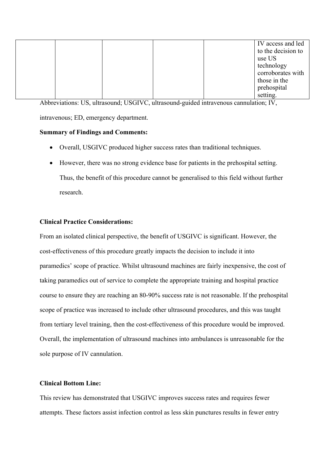|  |  | IV access and led       |
|--|--|-------------------------|
|  |  | to the decision to      |
|  |  | use US                  |
|  |  | technology              |
|  |  | corroborates with       |
|  |  | those in the            |
|  |  |                         |
|  |  | prehospital<br>setting. |

Abbreviations: US, ultrasound; USGIVC, ultrasound-guided intravenous cannulation; IV, intravenous; ED, emergency department.

## **Summary of Findings and Comments:**

- Overall, USGIVC produced higher success rates than traditional techniques.
- However, there was no strong evidence base for patients in the prehospital setting. Thus, the benefit of this procedure cannot be generalised to this field without further research.

## **Clinical Practice Considerations:**

From an isolated clinical perspective, the benefit of USGIVC is significant. However, the cost-effectiveness of this procedure greatly impacts the decision to include it into paramedics' scope of practice. Whilst ultrasound machines are fairly inexpensive, the cost of taking paramedics out of service to complete the appropriate training and hospital practice course to ensure they are reaching an 80-90% success rate is not reasonable. If the prehospital scope of practice was increased to include other ultrasound procedures, and this was taught from tertiary level training, then the cost-effectiveness of this procedure would be improved. Overall, the implementation of ultrasound machines into ambulances is unreasonable for the sole purpose of IV cannulation.

#### **Clinical Bottom Line:**

This review has demonstrated that USGIVC improves success rates and requires fewer attempts. These factors assist infection control as less skin punctures results in fewer entry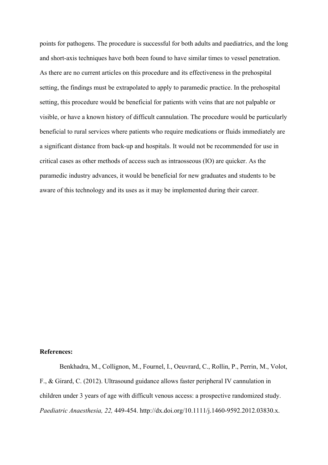points for pathogens. The procedure is successful for both adults and paediatrics, and the long and short-axis techniques have both been found to have similar times to vessel penetration. As there are no current articles on this procedure and its effectiveness in the prehospital setting, the findings must be extrapolated to apply to paramedic practice. In the prehospital setting, this procedure would be beneficial for patients with veins that are not palpable or visible, or have a known history of difficult cannulation. The procedure would be particularly beneficial to rural services where patients who require medications or fluids immediately are a significant distance from back-up and hospitals. It would not be recommended for use in critical cases as other methods of access such as intraosseous (IO) are quicker. As the paramedic industry advances, it would be beneficial for new graduates and students to be aware of this technology and its uses as it may be implemented during their career.

#### **References:**

Benkhadra, M., Collignon, M., Fournel, I., Oeuvrard, C., Rollin, P., Perrin, M., Volot, F., & Girard, C. (2012). Ultrasound guidance allows faster peripheral IV cannulation in children under 3 years of age with difficult venous access: a prospective randomized study. *Paediatric Anaesthesia, 22,* 449-454. http://dx.doi.org/10.1111/j.1460-9592.2012.03830.x.